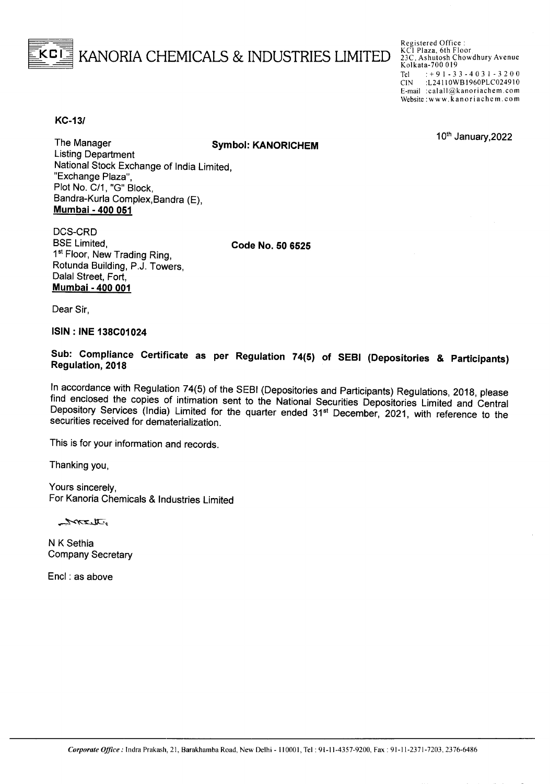## BKANORIA CHEMICALS & INDUSTRIES LIMITED

Registered Office: KCI Plaza, 6th Floor 23C. Ashutosh Chowdhury Avenue Kolkata-700 019 Tel:  $\div$  9 1 - 3 3 - 4 0 3 1 - 3 2 0 0<br>CIN:  $\angle$ L24110WB1960PLC024910 :L24110WB1960PLC024910 E-mail :calall@kanoriachem.com Website: www.kanoriachem.com

10<sup>th</sup> January, 2022

**KC-131**

The Manager **Symbol: KANORICHEM**

Listing Department National Stock Exchange of India Limited, "Exchange Plaza", Plot No. C/1, "G" Block, Bandra-Kurla Complex,Bandra (E), **Mumbai - 400 051**

DCS-CRD BSE Limited, 1<sup>st</sup> Floor, New Trading Ring, Rotunda Building, P.J. Towers, Dalal Street, Fort, **Mumbai - 400 001**

**Code No. 50 6525**

Dear Sir,

**ISIN : INE 138C01024**

## **Sub: Compliance Certificate as per Regulation 74(5) of SEBI (Depositories & Participants) Regulation, 2018**

In accordance with Regulation 74(5) of the SEBI (Depositories and Participants) Regulations, 2018, please find enclosed the copies of intimation sent to the National Securities Depositories Limited and Central Depository Services (India) Limited for the quarter ended 31<sup>st</sup> December, 2021, with reference to the securities received for dematerialization.

This is for your information and records.

Thanking you,

Yours sincerely, For Kanoria Chemicals & Industries Limited

ستصهيب يداته

N K Sethia Company Secretary

Encl : as above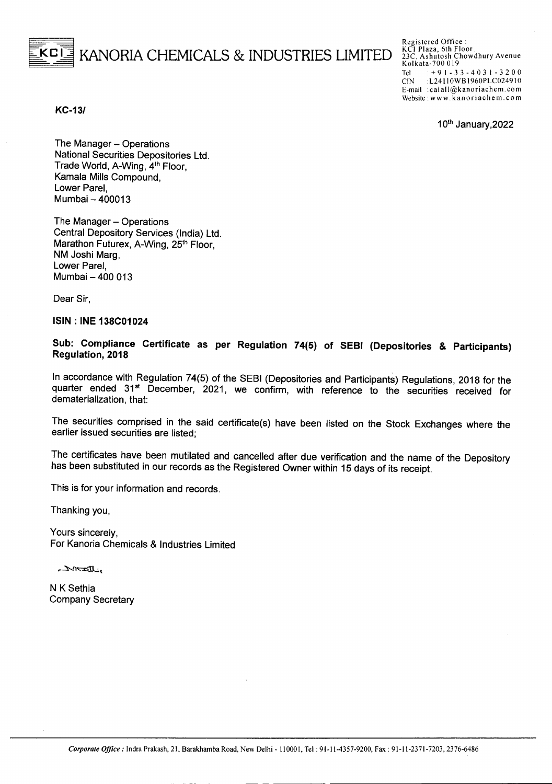## KANORIA CHEMICALS & INDUSTRIES LIMITED

Registered Office: KCI Plaza, 6th Floor 23C. Ashutosh Chowdhury Avenue Kolkata-700 019 Tel:  $+91 - 33 - 4031 - 3200$ CIN :L241I OWB1960PLC0249IO E-mail :calall@kanoriachem.com Website: www.kanoriachem.com

10th January, 2022

*KC-131*

The Manager - Operations National Securities Depositories Ltd. Trade World, A-Wing, 4<sup>th</sup> Floor, Kamala Mills Compound, Lower Parel, Mumbai - 400013

The Manager - Operations Central Depository Services (India) Ltd. Marathon Futurex, A-Wing, 25<sup>th</sup> Floor, NM Joshi Marg, Lower Parel, Mumbai - 400 013

Dear Sir,

ISIN : INE 138C01024

Sub: Compliance Certificate as per Regulation 74(5) of SEBI (Depositories & Participants) Regulation, 2018

In accordance with Regulation 74(5) of the SEBI (Depositories and Participants) Regulations, 2018 for the quarter ended 31<sup>st</sup> December, 2021, we confirm, with reference to the securities received for dematerialization, that:

The securities comprised in the said certificate(s) have been listed on the Stock Exchanges where the earlier issued securities are listed;

The certificates have been mutilated and cancelled after due verification and the name of the Depository has been substituted in our records as the Registered Owner within 15 days of its receipt.

This is for your information and records.

Thanking you,

Yours sincerely, For Kanoria Chemicals & Industries Limited

ستصلحت تلذر

N K Sethia Company Secretary